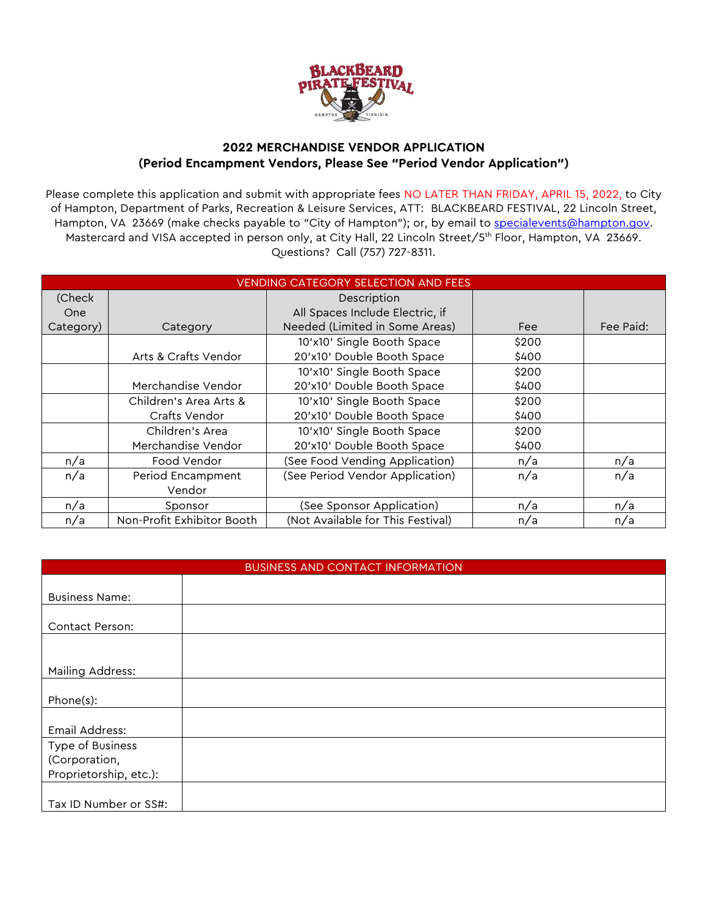

## **2022 MERCHANDISE VENDOR APPLICATION (Period Encampment Vendors, Please See "Period Vendor Application")**

Please complete this application and submit with appropriate fees NO LATER THAN FRIDAY, APRIL 15, 2022, to City of Hampton, Department of Parks, Recreation & Leisure Services, ATT: BLACKBEARD FESTIVAL, 22 Lincoln Street, Hampton, VA 23669 (make checks payable to "City of Hampton"); or, by email to [specialevents@hampton.gov.](mailto:specialevents@hampton.gov) Mastercard and VISA accepted in person only, at City Hall, 22 Lincoln Street/5<sup>th</sup> Floor, Hampton, VA 23669. Questions? Call (757) 727-8311.

| <b>VENDING CATEGORY SELECTION AND FEES</b> |                            |                                   |       |           |  |  |  |  |
|--------------------------------------------|----------------------------|-----------------------------------|-------|-----------|--|--|--|--|
| (Check                                     |                            | Description                       |       |           |  |  |  |  |
| One                                        |                            | All Spaces Include Electric, if   |       |           |  |  |  |  |
| Category)                                  | Category                   | Needed (Limited in Some Areas)    | Fee   | Fee Paid: |  |  |  |  |
|                                            |                            | 10'x10' Single Booth Space        | \$200 |           |  |  |  |  |
|                                            | Arts & Crafts Vendor       | 20'x10' Double Booth Space        | \$400 |           |  |  |  |  |
|                                            |                            | 10'x10' Single Booth Space        | \$200 |           |  |  |  |  |
|                                            | Merchandise Vendor         | 20'x10' Double Booth Space        | \$400 |           |  |  |  |  |
|                                            | Children's Area Arts &     | 10'x10' Single Booth Space        | \$200 |           |  |  |  |  |
|                                            | Crafts Vendor              | 20'x10' Double Booth Space        | \$400 |           |  |  |  |  |
|                                            | Children's Area            | 10'x10' Single Booth Space        | \$200 |           |  |  |  |  |
|                                            | Merchandise Vendor         | 20'x10' Double Booth Space        | \$400 |           |  |  |  |  |
| n/a                                        | Food Vendor                | (See Food Vending Application)    | n/a   | n/a       |  |  |  |  |
| n/a                                        | Period Encampment          | (See Period Vendor Application)   | n/a   | n/a       |  |  |  |  |
|                                            | Vendor                     |                                   |       |           |  |  |  |  |
| n/a                                        | Sponsor                    | (See Sponsor Application)         | n/a   | n/a       |  |  |  |  |
| n/a                                        | Non-Profit Exhibitor Booth | (Not Available for This Festival) | n/a   | n/a       |  |  |  |  |

| BUSINESS AND CONTACT INFORMATION |  |  |  |  |  |
|----------------------------------|--|--|--|--|--|
|                                  |  |  |  |  |  |
| <b>Business Name:</b>            |  |  |  |  |  |
|                                  |  |  |  |  |  |
| Contact Person:                  |  |  |  |  |  |
|                                  |  |  |  |  |  |
|                                  |  |  |  |  |  |
| Mailing Address:                 |  |  |  |  |  |
|                                  |  |  |  |  |  |
| Phone(s):                        |  |  |  |  |  |
|                                  |  |  |  |  |  |
| Email Address:                   |  |  |  |  |  |
| Type of Business                 |  |  |  |  |  |
| (Corporation,                    |  |  |  |  |  |
| Proprietorship, etc.):           |  |  |  |  |  |
|                                  |  |  |  |  |  |
| Tax ID Number or SS#:            |  |  |  |  |  |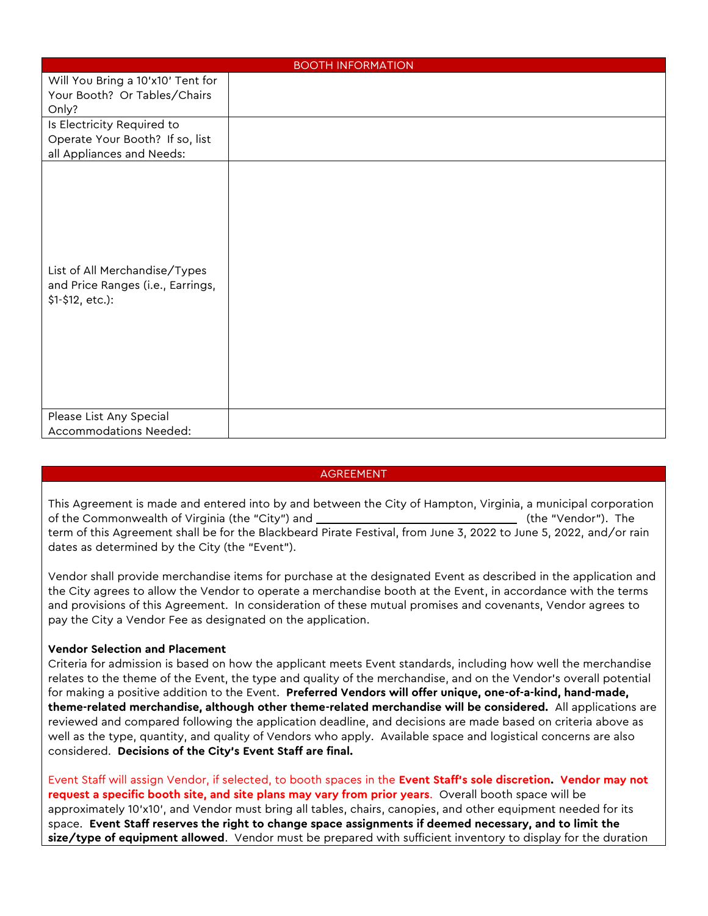| <b>BOOTH INFORMATION</b>                                                                   |  |  |  |  |  |  |
|--------------------------------------------------------------------------------------------|--|--|--|--|--|--|
| Will You Bring a 10'x10' Tent for<br>Your Booth? Or Tables/Chairs<br>Only?                 |  |  |  |  |  |  |
| Is Electricity Required to<br>Operate Your Booth? If so, list<br>all Appliances and Needs: |  |  |  |  |  |  |
| List of All Merchandise/Types<br>and Price Ranges (i.e., Earrings,<br>\$1-\$12, etc.):     |  |  |  |  |  |  |
| Please List Any Special<br>Accommodations Needed:                                          |  |  |  |  |  |  |

## AGREEMENT

This Agreement is made and entered into by and between the City of Hampton, Virginia, a municipal corporation of the Commonwealth of Virginia (the "City") and  $\blacksquare$  (the "Vendor"). The  $\blacksquare$ term of this Agreement shall be for the Blackbeard Pirate Festival, from June 3, 2022 to June 5, 2022, and/or rain dates as determined by the City (the "Event").

Vendor shall provide merchandise items for purchase at the designated Event as described in the application and the City agrees to allow the Vendor to operate a merchandise booth at the Event, in accordance with the terms and provisions of this Agreement. In consideration of these mutual promises and covenants, Vendor agrees to pay the City a Vendor Fee as designated on the application.

## **Vendor Selection and Placement**

Criteria for admission is based on how the applicant meets Event standards, including how well the merchandise relates to the theme of the Event, the type and quality of the merchandise, and on the Vendor's overall potential for making a positive addition to the Event. **Preferred Vendors will offer unique, one-of-a-kind, hand-made, theme-related merchandise, although other theme-related merchandise will be considered.** All applications are reviewed and compared following the application deadline, and decisions are made based on criteria above as well as the type, quantity, and quality of Vendors who apply. Available space and logistical concerns are also considered. **Decisions of the City's Event Staff are final.** 

Event Staff will assign Vendor, if selected, to booth spaces in the **Event Staff's sole discretion. Vendor may not request a specific booth site, and site plans may vary from prior years**. Overall booth space will be approximately 10'x10', and Vendor must bring all tables, chairs, canopies, and other equipment needed for its space. **Event Staff reserves the right to change space assignments if deemed necessary, and to limit the size/type of equipment allowed**. Vendor must be prepared with sufficient inventory to display for the duration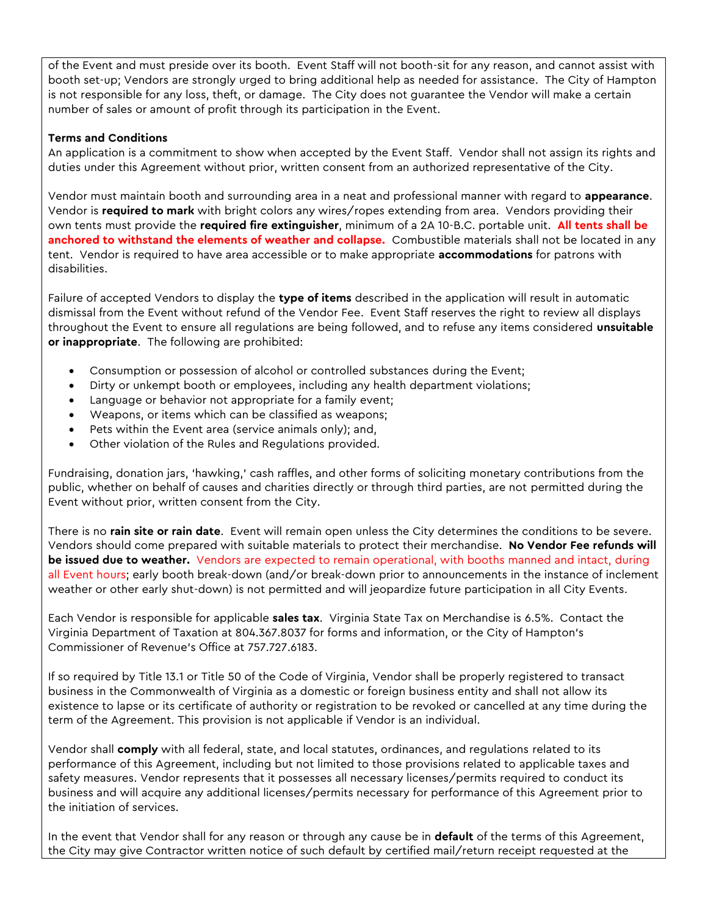of the Event and must preside over its booth. Event Staff will not booth-sit for any reason, and cannot assist with booth set-up; Vendors are strongly urged to bring additional help as needed for assistance. The City of Hampton is not responsible for any loss, theft, or damage. The City does not guarantee the Vendor will make a certain number of sales or amount of profit through its participation in the Event.

## **Terms and Conditions**

An application is a commitment to show when accepted by the Event Staff. Vendor shall not assign its rights and duties under this Agreement without prior, written consent from an authorized representative of the City.

Vendor must maintain booth and surrounding area in a neat and professional manner with regard to **appearance**. Vendor is **required to mark** with bright colors any wires/ropes extending from area. Vendors providing their own tents must provide the **required fire extinguisher**, minimum of a 2A 10-B.C. portable unit. **All tents shall be anchored to withstand the elements of weather and collapse.** Combustible materials shall not be located in any tent. Vendor is required to have area accessible or to make appropriate **accommodations** for patrons with disabilities.

Failure of accepted Vendors to display the **type of items** described in the application will result in automatic dismissal from the Event without refund of the Vendor Fee. Event Staff reserves the right to review all displays throughout the Event to ensure all regulations are being followed, and to refuse any items considered **unsuitable or inappropriate**. The following are prohibited:

- Consumption or possession of alcohol or controlled substances during the Event;
- Dirty or unkempt booth or employees, including any health department violations;
- Language or behavior not appropriate for a family event;
- Weapons, or items which can be classified as weapons;
- Pets within the Event area (service animals only); and,
- Other violation of the Rules and Regulations provided.

Fundraising, donation jars, 'hawking,' cash raffles, and other forms of soliciting monetary contributions from the public, whether on behalf of causes and charities directly or through third parties, are not permitted during the Event without prior, written consent from the City.

There is no **rain site or rain date**. Event will remain open unless the City determines the conditions to be severe. Vendors should come prepared with suitable materials to protect their merchandise. **No Vendor Fee refunds will be issued due to weather.** Vendors are expected to remain operational, with booths manned and intact, during all Event hours; early booth break-down (and/or break-down prior to announcements in the instance of inclement weather or other early shut-down) is not permitted and will jeopardize future participation in all City Events.

Each Vendor is responsible for applicable **sales tax**. Virginia State Tax on Merchandise is 6.5%. Contact the Virginia Department of Taxation at 804.367.8037 for forms and information, or the City of Hampton's Commissioner of Revenue's Office at 757.727.6183.

If so required by Title 13.1 or Title 50 of the Code of Virginia, Vendor shall be properly registered to transact business in the Commonwealth of Virginia as a domestic or foreign business entity and shall not allow its existence to lapse or its certificate of authority or registration to be revoked or cancelled at any time during the term of the Agreement. This provision is not applicable if Vendor is an individual.

Vendor shall **comply** with all federal, state, and local statutes, ordinances, and regulations related to its performance of this Agreement, including but not limited to those provisions related to applicable taxes and safety measures. Vendor represents that it possesses all necessary licenses/permits required to conduct its business and will acquire any additional licenses/permits necessary for performance of this Agreement prior to the initiation of services.

In the event that Vendor shall for any reason or through any cause be in **default** of the terms of this Agreement, the City may give Contractor written notice of such default by certified mail/return receipt requested at the